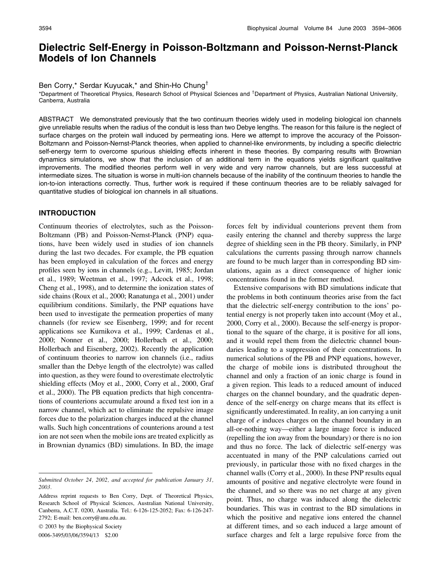# Dielectric Self-Energy in Poisson-Boltzmann and Poisson-Nernst-Planck Models of Ion Channels

#### Ben Corry,\* Serdar Kuyucak,\* and Shin-Ho Chung<sup>†</sup>

\*Department of Theoretical Physics, Research School of Physical Sciences and <sup>†</sup>Department of Physics, Australian National University, Canberra, Australia

ABSTRACT We demonstrated previously that the two continuum theories widely used in modeling biological ion channels give unreliable results when the radius of the conduit is less than two Debye lengths. The reason for this failure is the neglect of surface charges on the protein wall induced by permeating ions. Here we attempt to improve the accuracy of the Poisson-Boltzmann and Poisson-Nernst-Planck theories, when applied to channel-like environments, by including a specific dielectric self-energy term to overcome spurious shielding effects inherent in these theories. By comparing results with Brownian dynamics simulations, we show that the inclusion of an additional term in the equations yields significant qualitative improvements. The modified theories perform well in very wide and very narrow channels, but are less successful at intermediate sizes. The situation is worse in multi-ion channels because of the inability of the continuum theories to handle the ion-to-ion interactions correctly. Thus, further work is required if these continuum theories are to be reliably salvaged for quantitative studies of biological ion channels in all situations.

# INTRODUCTION

Continuum theories of electrolytes, such as the Poisson-Boltzmann (PB) and Poisson-Nernst-Planck (PNP) equations, have been widely used in studies of ion channels during the last two decades. For example, the PB equation has been employed in calculation of the forces and energy profiles seen by ions in channels (e.g., Levitt, 1985; Jordan et al., 1989; Weetman et al., 1997; Adcock et al., 1998; Cheng et al., 1998), and to determine the ionization states of side chains (Roux et al., 2000; Ranatunga et al., 2001) under equilibrium conditions. Similarly, the PNP equations have been used to investigate the permeation properties of many channels (for review see Eisenberg, 1999; and for recent applications see Kurnikova et al., 1999; Cardenas et al., 2000; Nonner et al., 2000; Hollerbach et al., 2000; Hollerbach and Eisenberg, 2002). Recently the application of continuum theories to narrow ion channels (i.e., radius smaller than the Debye length of the electrolyte) was called into question, as they were found to overestimate electrolytic shielding effects (Moy et al., 2000, Corry et al., 2000, Graf et al., 2000). The PB equation predicts that high concentrations of counterions accumulate around a fixed test ion in a narrow channel, which act to eliminate the repulsive image forces due to the polarization charges induced at the channel walls. Such high concentrations of counterions around a test ion are not seen when the mobile ions are treated explicitly as in Brownian dynamics (BD) simulations. In BD, the image

2003 by the Biophysical Society

0006-3495/03/06/3594/13 \$2.00

forces felt by individual counterions prevent them from easily entering the channel and thereby suppress the large degree of shielding seen in the PB theory. Similarly, in PNP calculations the currents passing through narrow channels are found to be much larger than in corresponding BD simulations, again as a direct consequence of higher ionic concentrations found in the former method.

Extensive comparisons with BD simulations indicate that the problems in both continuum theories arise from the fact that the dielectric self-energy contribution to the ions' potential energy is not properly taken into account (Moy et al., 2000, Corry et al., 2000). Because the self-energy is proportional to the square of the charge, it is positive for all ions, and it would repel them from the dielectric channel boundaries leading to a suppression of their concentrations. In numerical solutions of the PB and PNP equations, however, the charge of mobile ions is distributed throughout the channel and only a fraction of an ionic charge is found in a given region. This leads to a reduced amount of induced charges on the channel boundary, and the quadratic dependence of the self-energy on charge means that its effect is significantly underestimated. In reality, an ion carrying a unit charge of  $e$  induces charges on the channel boundary in an all-or-nothing way—either a large image force is induced (repelling the ion away from the boundary) or there is no ion and thus no force. The lack of dielectric self-energy was accentuated in many of the PNP calculations carried out previously, in particular those with no fixed charges in the channel walls (Corry et al., 2000). In these PNP results equal amounts of positive and negative electrolyte were found in the channel, and so there was no net charge at any given point. Thus, no charge was induced along the dielectric boundaries. This was in contrast to the BD simulations in which the positive and negative ions entered the channel at different times, and so each induced a large amount of surface charges and felt a large repulsive force from the

Submitted October 24, 2002, and accepted for publication January 31, 2003.

Address reprint requests to Ben Corry, Dept. of Theoretical Physics, Research School of Physical Sciences, Australian National University, Canberra, A.C.T. 0200, Australia. Tel.: 6-126-125-2052; Fax: 6-126-247- 2792; E-mail: ben.corry@anu.edu.au.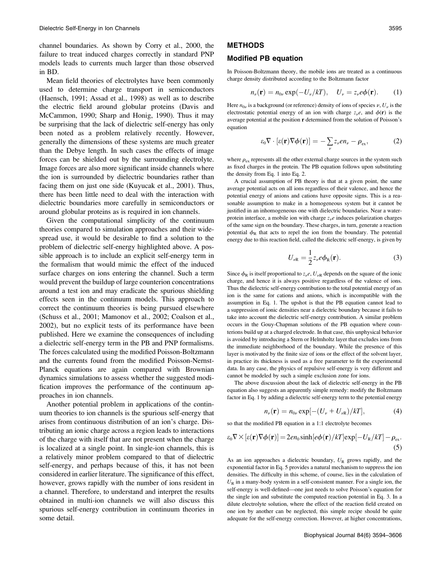channel boundaries. As shown by Corry et al., 2000, the failure to treat induced charges correctly in standard PNP models leads to currents much larger than those observed in BD.

Mean field theories of electrolytes have been commonly used to determine charge transport in semiconductors (Haensch, 1991; Assad et al., 1998) as well as to describe the electric field around globular proteins (Davis and McCammon, 1990; Sharp and Honig, 1990). Thus it may be surprising that the lack of dielectric self-energy has only been noted as a problem relatively recently. However, generally the dimensions of these systems are much greater than the Debye length. In such cases the effects of image forces can be shielded out by the surrounding electrolyte. Image forces are also more significant inside channels where the ion is surrounded by dielectric boundaries rather than facing them on just one side (Kuyucak et al., 2001). Thus, there has been little need to deal with the interaction with dielectric boundaries more carefully in semiconductors or around globular proteins as is required in ion channels.

Given the computational simplicity of the continuum theories compared to simulation approaches and their widespread use, it would be desirable to find a solution to the problem of dielectric self-energy highlighted above. A possible approach is to include an explicit self-energy term in the formalism that would mimic the effect of the induced surface charges on ions entering the channel. Such a term would prevent the buildup of large counterion concentrations around a test ion and may eradicate the spurious shielding effects seen in the continuum models. This approach to correct the continuum theories is being pursued elsewhere (Schuss et al., 2001; Mamonov et al., 2002; Coalson et al., 2002), but no explicit tests of its performance have been published. Here we examine the consequences of including a dielectric self-energy term in the PB and PNP formalisms. The forces calculated using the modified Poisson-Boltzmann and the currents found from the modified Poisson-Nernst-Planck equations are again compared with Brownian dynamics simulations to assess whether the suggested modification improves the performance of the continuum approaches in ion channels.

Another potential problem in applications of the continuum theories to ion channels is the spurious self-energy that arises from continuous distribution of an ion's charge. Distributing an ionic charge across a region leads to interactions of the charge with itself that are not present when the charge is localized at a single point. In single-ion channels, this is a relatively minor problem compared to that of dielectric self-energy, and perhaps because of this, it has not been considered in earlier literature. The significance of this effect, however, grows rapidly with the number of ions resident in a channel. Therefore, to understand and interpret the results obtained in multi-ion channels we will also discuss this spurious self-energy contribution in continuum theories in some detail.

# METHODS

#### Modified PB equation

In Poisson-Boltzmann theory, the mobile ions are treated as a continuous charge density distributed according to the Boltzmann factor

$$
n_{\nu}(\mathbf{r}) = n_{0\nu} \exp(-U_{\nu}/kT), \quad U_{\nu} = z_{\nu} e \phi(\mathbf{r}). \tag{1}
$$

Here  $n_{0\nu}$  is a background (or reference) density of ions of species  $\nu$ ,  $U_{\nu}$  is the electrostatic potential energy of an ion with charge  $z_{\nu}e$ , and  $\phi(\mathbf{r})$  is the average potential at the position r determined from the solution of Poisson's equation

$$
\varepsilon_0 \nabla \cdot [\varepsilon(\mathbf{r}) \nabla \phi(\mathbf{r})] = -\sum_{\nu} z_{\nu} e n_{\nu} - \rho_{\text{ex}}, \tag{2}
$$

where  $\rho_{\rm ex}$  represents all the other external charge sources in the system such as fixed charges in the protein. The PB equation follows upon substituting the density from Eq. 1 into Eq. 2.

A crucial assumption of PB theory is that at a given point, the same average potential acts on all ions regardless of their valence, and hence the potential energy of anions and cations have opposite signs. This is a reasonable assumption to make in a homogeneous system but it cannot be justified in an inhomogeneous one with dielectric boundaries. Near a waterprotein interface, a mobile ion with charge  $z<sub>v</sub>e$  induces polarization charges of the same sign on the boundary. These charges, in turn, generate a reaction potential  $\phi_R$  that acts to repel the ion from the boundary. The potential energy due to this reaction field, called the dielectric self-energy, is given by

$$
U_{\nu R} = \frac{1}{2} z_{\nu} e \phi_{R}(\mathbf{r}).
$$
 (3)

Since  $\phi_R$  is itself proportional to  $z_\nu e$ ,  $U_{\nu R}$  depends on the square of the ionic charge, and hence it is always positive regardless of the valence of ions. Thus the dielectric self-energy contribution to the total potential energy of an ion is the same for cations and anions, which is incompatible with the assumption in Eq. 1. The upshot is that the PB equation cannot lead to a suppression of ionic densities near a dielectric boundary because it fails to take into account the dielectric self-energy contribution. A similar problem occurs in the Gouy-Chapman solutions of the PB equation where counterions build up at a charged electrode. In that case, this unphysical behavior is avoided by introducing a Stern or Helmholtz layer that excludes ions from the immediate neighborhood of the boundary. While the presence of this layer is motivated by the finite size of ions or the effect of the solvent layer, in practice its thickness is used as a free parameter to fit the experimental data. In any case, the physics of repulsive self-energy is very different and cannot be modeled by such a simple exclusion zone for ions.

The above discussion about the lack of dielectric self-energy in the PB equation also suggests an apparently simple remedy: modify the Boltzmann factor in Eq. 1 by adding a dielectric self-energy term to the potential energy

$$
n_{\nu}(\mathbf{r}) = n_{0\nu} \exp[-(U_{\nu} + U_{\nu R})/kT], \tag{4}
$$

so that the modified PB equation in a 1:1 electrolyte becomes

$$
\varepsilon_0 \nabla \times [\varepsilon(\mathbf{r}) \nabla \phi(\mathbf{r})] = 2e n_0 \sinh[e \phi(\mathbf{r})/kT] \exp[-U_R/kT] - \rho_{\text{ex}}.
$$
\n(5)

As an ion approaches a dielectric boundary,  $U_R$  grows rapidly, and the exponential factor in Eq. 5 provides a natural mechanism to suppress the ion densities. The difficulty in this scheme, of course, lies in the calculation of  $U_R$  in a many-body system in a self-consistent manner. For a single ion, the self-energy is well-defined—one just needs to solve Poisson's equation for the single ion and substitute the computed reaction potential in Eq. 3. In a dilute electrolyte solution, where the effect of the reaction field created on one ion by another can be neglected, this simple recipe should be quite adequate for the self-energy correction. However, at higher concentrations,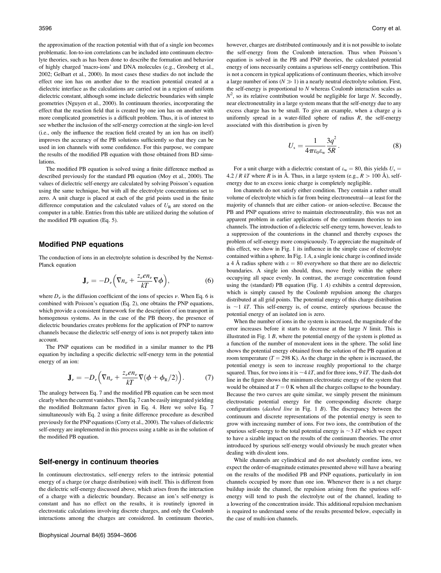the approximation of the reaction potential with that of a single ion becomes problematic. Ion-to-ion correlations can be included into continuum electrolyte theories, such as has been done to describe the formation and behavior of highly charged 'macro-ions' and DNA molecules (e.g., Grosberg et al., 2002; Gelbart et al., 2000). In most cases these studies do not include the effect one ion has on another due to the reaction potential created at a dielectric interface as the calculations are carried out in a region of uniform dielectric constant, although some include dielectric boundaries with simple geometries (Nguyen et al., 2000). In continuum theories, incorporating the effect that the reaction field that is created by one ion has on another with more complicated geometries is a difficult problem. Thus, it is of interest to see whether the inclusion of the self-energy correction at the single-ion level (i.e., only the influence the reaction field created by an ion has on itself) improves the accuracy of the PB solutions sufficiently so that they can be used in ion channels with some confidence. For this purpose, we compare the results of the modified PB equation with those obtained from BD simulations.

The modified PB equation is solved using a finite difference method as described previously for the standard PB equation (Moy et al., 2000). The values of dielectric self-energy are calculated by solving Poisson's equation using the same technique, but with all the electrolyte concentrations set to zero. A unit charge is placed at each of the grid points used in the finite difference computation and the calculated values of  $U_R$  are stored on the computer in a table. Entries from this table are utilized during the solution of the modified PB equation (Eq. 5).

#### Modified PNP equations

The conduction of ions in an electrolyte solution is described by the Nernst-Planck equation

$$
\mathbf{J}_{\nu} = -D_{\nu} \Big( \nabla n_{\nu} + \frac{z_{\nu} e n_{\nu}}{kT} \nabla \phi \Big), \tag{6}
$$

where  $D_{\nu}$  is the diffusion coefficient of the ions of species  $\nu$ . When Eq. 6 is combined with Poisson's equation (Eq. 2), one obtains the PNP equations, which provide a consistent framework for the description of ion transport in homogenous systems. As in the case of the PB theory, the presence of dielectric boundaries creates problems for the application of PNP to narrow channels because the dielectric self-energy of ions is not properly taken into account.

The PNP equations can be modified in a similar manner to the PB equation by including a specific dielectric self-energy term in the potential energy of an ion:

$$
\mathbf{J}_{\nu} = -D_{\nu} \Big( \nabla n_{\nu} + \frac{z_{\nu} e n_{\nu}}{kT} \nabla (\phi + \phi_{\text{R}}/2) \Big). \tag{7}
$$

The analogy between Eq. 7 and the modified PB equation can be seen most clearly when the current vanishes. Then Eq. 7 can be easily integrated yielding the modified Boltzmann factor given in Eq. 4. Here we solve Eq. 7 simultaneously with Eq. 2 using a finite difference procedure as described previously for the PNP equations (Corry et al., 2000). The values of dielectric self-energy are implemented in this process using a table as in the solution of the modified PB equation.

#### Self-energy in continuum theories

In continuum electrostatics, self-energy refers to the intrinsic potential energy of a charge (or charge distribution) with itself. This is different from the dielectric self-energy discussed above, which arises from the interaction of a charge with a dielectric boundary. Because an ion's self-energy is constant and has no effect on the results, it is routinely ignored in electrostatic calculations involving discrete charges, and only the Coulomb interactions among the charges are considered. In continuum theories, however, charges are distributed continuously and it is not possible to isolate the self-energy from the Coulomb interaction. Thus when Poisson's equation is solved in the PB and PNP theories, the calculated potential energy of ions necessarily contains a spurious self-energy contribution. This is not a concern in typical applications of continuum theories, which involve a large number of ions  $(N \gg 1)$  in a nearly neutral electrolyte solution. First, the self-energy is proportional to  $N$  whereas Coulomb interaction scales as  $N^2$ , so its relative contribution would be negligible for large N. Secondly, near electroneutrality in a large system means that the self-energy due to any excess charge has to be small. To give an example, when a charge  $q$  is uniformly spread in a water-filled sphere of radius  $R$ , the self-energy associated with this distribution is given by

$$
U_{\rm s} = \frac{1}{4\pi\epsilon_0\epsilon_{\rm w}}\frac{3q^2}{5R}.\tag{8}
$$

For a unit charge with a dielectric constant of  $\varepsilon_w = 80$ , this yields  $U_s =$ 4.2 / R kT where R is in Å. Thus, in a large system (e.g.,  $R > 100 \text{ Å}$ ), selfenergy due to an excess ionic charge is completely negligible.

Ion channels do not satisfy either condition. They contain a rather small volume of electrolyte which is far from being electroneutral—at least for the majority of channels that are either cation- or anion-selective. Because the PB and PNP equations strive to maintain electroneutrality, this was not an apparent problem in earlier applications of the continuum theories to ion channels. The introduction of a dielectric self-energy term, however, leads to a suppression of the counterions in the channel and thereby exposes the problem of self-energy more conspicuously. To appreciate the magnitude of this effect, we show in Fig. 1 its influence in the simple case of electrolyte contained within a sphere. In Fig. 1 A, a single ionic charge is confined inside a 4 Å radius sphere with  $\varepsilon = 80$  everywhere so that there are no dielectric boundaries. A single ion should, thus, move freely within the sphere occupying all space evenly. In contrast, the average concentration found using the (standard) PB equation (Fig. 1 A) exhibits a central depression, which is simply caused by the Coulomb repulsion among the charges distributed at all grid points. The potential energy of this charge distribution is  $\sim$ 1 kT. This self-energy is, of course, entirely spurious because the potential energy of an isolated ion is zero.

When the number of ions in the system is increased, the magnitude of the error increases before it starts to decrease at the large N limit. This is illustrated in Fig. 1 B, where the potential energy of the system is plotted as a function of the number of monovalent ions in the sphere. The solid line shows the potential energy obtained from the solution of the PB equation at room temperature ( $T = 298$  K). As the charge in the sphere is increased, the potential energy is seen to increase roughly proportional to the charge squared. Thus, for two ions it is  $\sim$  4 kT, and for three ions, 9 kT. The dash-dot line in the figure shows the minimum electrostatic energy of the system that would be obtained at  $T = 0$  K when all the charges collapse to the boundary. Because the two curves are quite similar, we simply present the minimum electrostatic potential energy for the corresponding discrete charge configurations (dashed line in Fig. 1 B). The discrepancy between the continuum and discrete representations of the potential energy is seen to grow with increasing number of ions. For two ions, the contribution of the spurious self-energy to the total potential energy is  $\sim$  3 kT which we expect to have a sizable impact on the results of the continuum theories. The error introduced by spurious self-energy would obviously be much greater when dealing with divalent ions.

While channels are cylindrical and do not absolutely confine ions, we expect the order-of-magnitude estimates presented above will have a bearing on the results of the modified PB and PNP equations, particularly in ion channels occupied by more than one ion. Whenever there is a net charge buildup inside the channel, the repulsion arising from the spurious selfenergy will tend to push the electrolyte out of the channel, leading to a lowering of the concentration inside. This additional repulsion mechanism is required to understand some of the results presented below, especially in the case of multi-ion channels.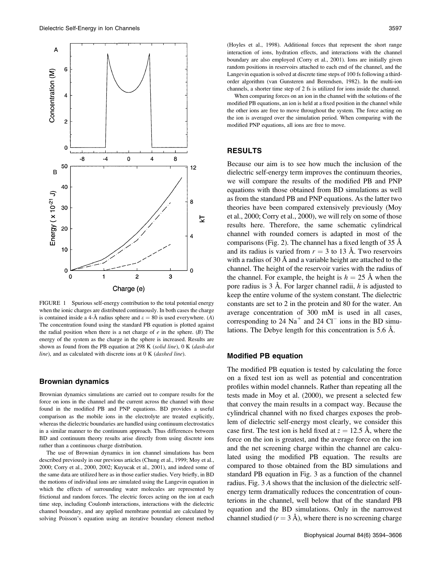

FIGURE 1 Spurious self-energy contribution to the total potential energy when the ionic charges are distributed continuously. In both cases the charge is contained inside a 4-Å radius sphere and  $\varepsilon = 80$  is used everywhere. (A) The concentration found using the standard PB equation is plotted against the radial position when there is a net charge of  $e$  in the sphere. (B) The energy of the system as the charge in the sphere is increased. Results are shown as found from the PB equation at 298 K (solid line), 0 K (dash-dot *line*), and as calculated with discrete ions at  $0 K$  (*dashed line*).

### Brownian dynamics

Brownian dynamics simulations are carried out to compare results for the force on ions in the channel and the current across the channel with those found in the modified PB and PNP equations. BD provides a useful comparison as the mobile ions in the electrolyte are treated explicitly, whereas the dielectric boundaries are handled using continuum electrostatics in a similar manner to the continuum approach. Thus differences between BD and continuum theory results arise directly from using discrete ions rather than a continuous charge distribution.

The use of Brownian dynamics in ion channel simulations has been described previously in our previous articles (Chung et al., 1999; Moy et al., 2000; Corry et al., 2000, 2002; Kuyucak et al., 2001), and indeed some of the same data are utilized here as in those earlier studies. Very briefly, in BD the motions of individual ions are simulated using the Langevin equation in which the effects of surrounding water molecules are represented by frictional and random forces. The electric forces acting on the ion at each time step, including Coulomb interactions, interactions with the dielectric channel boundary, and any applied membrane potential are calculated by solving Poisson's equation using an iterative boundary element method

(Hoyles et al., 1998). Additional forces that represent the short range interaction of ions, hydration effects, and interactions with the channel boundary are also employed (Corry et al., 2001). Ions are initially given random positions in reservoirs attached to each end of the channel, and the Langevin equation is solved at discrete time steps of 100 fs following a thirdorder algorithm (van Gunsteren and Berendsen, 1982). In the multi-ion channels, a shorter time step of 2 fs is utilized for ions inside the channel.

When comparing forces on an ion in the channel with the solutions of the modified PB equations, an ion is held at a fixed position in the channel while the other ions are free to move throughout the system. The force acting on the ion is averaged over the simulation period. When comparing with the modified PNP equations, all ions are free to move.

# RESULTS

Because our aim is to see how much the inclusion of the dielectric self-energy term improves the continuum theories, we will compare the results of the modified PB and PNP equations with those obtained from BD simulations as well as from the standard PB and PNP equations. As the latter two theories have been compared extensively previously (Moy et al., 2000; Corry et al., 2000), we will rely on some of those results here. Therefore, the same schematic cylindrical channel with rounded corners is adapted in most of the comparisons (Fig. 2). The channel has a fixed length of  $35 \text{ Å}$ and its radius is varied from  $r = 3$  to 13 Å. Two reservoirs with a radius of  $30 \text{ Å}$  and a variable height are attached to the channel. The height of the reservoir varies with the radius of the channel. For example, the height is  $h = 25$  Å when the pore radius is  $3 \text{ Å}$ . For larger channel radii, h is adjusted to keep the entire volume of the system constant. The dielectric constants are set to 2 in the protein and 80 for the water. An average concentration of 300 mM is used in all cases, corresponding to 24  $Na<sup>+</sup>$  and 24  $Cl<sup>-</sup>$  ions in the BD simulations. The Debye length for this concentration is 5.6 Å.

# Modified PB equation

The modified PB equation is tested by calculating the force on a fixed test ion as well as potential and concentration profiles within model channels. Rather than repeating all the tests made in Moy et al. (2000), we present a selected few that convey the main results in a compact way. Because the cylindrical channel with no fixed charges exposes the problem of dielectric self-energy most clearly, we consider this case first. The test ion is held fixed at  $z = 12.5$  Å, where the force on the ion is greatest, and the average force on the ion and the net screening charge within the channel are calculated using the modified PB equation. The results are compared to those obtained from the BD simulations and standard PB equation in Fig. 3 as a function of the channel radius. Fig. 3 A shows that the inclusion of the dielectric selfenergy term dramatically reduces the concentration of counterions in the channel, well below that of the standard PB equation and the BD simulations. Only in the narrowest channel studied ( $r = 3$  Å), where there is no screening charge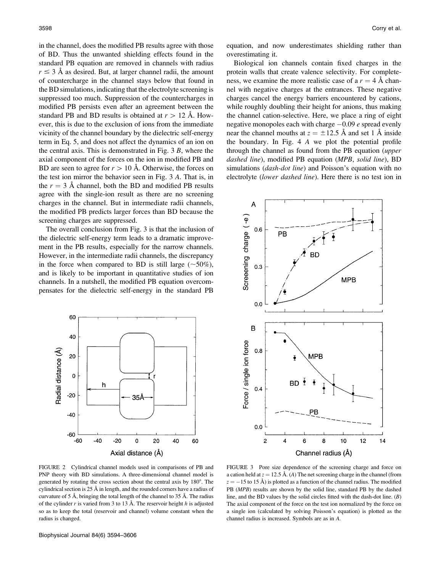in the channel, does the modified PB results agree with those of BD. Thus the unwanted shielding effects found in the standard PB equation are removed in channels with radius  $r \leq 3$  Å as desired. But, at larger channel radii, the amount of countercharge in the channel stays below that found in the BD simulations, indicating that the electrolyte screening is suppressed too much. Suppression of the countercharges in modified PB persists even after an agreement between the standard PB and BD results is obtained at  $r > 12$  Å. However, this is due to the exclusion of ions from the immediate vicinity of the channel boundary by the dielectric self-energy term in Eq. 5, and does not affect the dynamics of an ion on the central axis. This is demonstrated in Fig.  $3 B$ , where the axial component of the forces on the ion in modified PB and BD are seen to agree for  $r > 10$  Å. Otherwise, the forces on the test ion mirror the behavior seen in Fig. 3 A. That is, in the  $r = 3$  Å channel, both the BD and modified PB results agree with the single-ion result as there are no screening charges in the channel. But in intermediate radii channels, the modified PB predicts larger forces than BD because the screening charges are suppressed.

The overall conclusion from Fig. 3 is that the inclusion of the dielectric self-energy term leads to a dramatic improvement in the PB results, especially for the narrow channels. However, in the intermediate radii channels, the discrepancy in the force when compared to BD is still large  $(\sim 50\%)$ , and is likely to be important in quantitative studies of ion channels. In a nutshell, the modified PB equation overcompensates for the dielectric self-energy in the standard PB



equation, and now underestimates shielding rather than overestimating it.

Biological ion channels contain fixed charges in the protein walls that create valence selectivity. For completeness, we examine the more realistic case of a  $r = 4$  Å channel with negative charges at the entrances. These negative charges cancel the energy barriers encountered by cations, while roughly doubling their height for anions, thus making the channel cation-selective. Here, we place a ring of eight negative monopoles each with charge  $-0.09$  e spread evenly near the channel mouths at  $z = \pm 12.5$  Å and set 1 Å inside the boundary. In Fig. 4 A we plot the potential profile through the channel as found from the PB equation (upper dashed line), modified PB equation (MPB, solid line), BD simulations (*dash-dot line*) and Poisson's equation with no electrolyte (lower dashed line). Here there is no test ion in



FIGURE 2 Cylindrical channel models used in comparisons of PB and PNP theory with BD simulations. A three-dimensional channel model is generated by rotating the cross section about the central axis by  $180^\circ$ . The cylindrical section is 25 Å in length, and the rounded corners have a radius of curvature of 5 Å, bringing the total length of the channel to  $35$  Å. The radius of the cylinder r is varied from 3 to 13 Å. The reservoir height h is adjusted so as to keep the total (reservoir and channel) volume constant when the radius is changed.

FIGURE 3 Pore size dependence of the screening charge and force on a cation held at  $z = 12.5$  Å. (A) The net screening charge in the channel (from  $z = -15$  to 15 Å) is plotted as a function of the channel radius. The modified PB (MPB) results are shown by the solid line, standard PB by the dashed line, and the BD values by the solid circles fitted with the dash-dot line. (B) The axial component of the force on the test ion normalized by the force on a single ion (calculated by solving Poisson's equation) is plotted as the channel radius is increased. Symbols are as in A.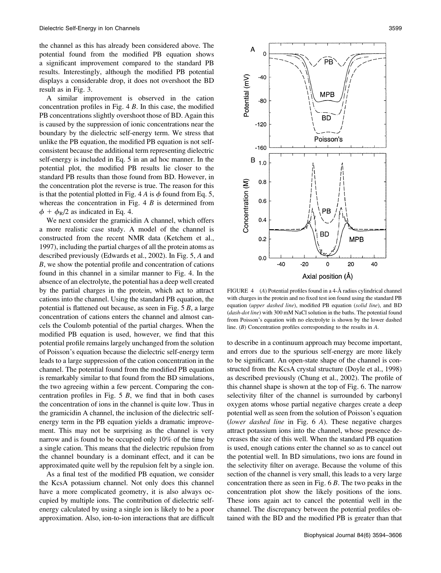the channel as this has already been considered above. The potential found from the modified PB equation shows a significant improvement compared to the standard PB results. Interestingly, although the modified PB potential displays a considerable drop, it does not overshoot the BD result as in Fig. 3.

A similar improvement is observed in the cation concentration profiles in Fig.  $4 B$ . In this case, the modified PB concentrations slightly overshoot those of BD. Again this is caused by the suppression of ionic concentrations near the boundary by the dielectric self-energy term. We stress that unlike the PB equation, the modified PB equation is not selfconsistent because the additional term representing dielectric self-energy is included in Eq. 5 in an ad hoc manner. In the potential plot, the modified PB results lie closer to the standard PB results than those found from BD. However, in the concentration plot the reverse is true. The reason for this is that the potential plotted in Fig. 4 A is  $\phi$  found from Eq. 5, whereas the concentration in Fig.  $4 B$  is determined from  $\phi + \phi_{\rm R}/2$  as indicated in Eq. 4.

We next consider the gramicidin A channel, which offers a more realistic case study. A model of the channel is constructed from the recent NMR data (Ketchem et al., 1997), including the partial charges of all the protein atoms as described previously (Edwards et al., 2002). In Fig. 5, A and B, we show the potential profile and concentration of cations found in this channel in a similar manner to Fig. 4. In the absence of an electrolyte, the potential has a deep well created by the partial charges in the protein, which act to attract cations into the channel. Using the standard PB equation, the potential is flattened out because, as seen in Fig.  $5 B$ , a large concentration of cations enters the channel and almost cancels the Coulomb potential of the partial charges. When the modified PB equation is used, however, we find that this potential profile remains largely unchanged from the solution of Poisson's equation because the dielectric self-energy term leads to a large suppression of the cation concentration in the channel. The potential found from the modified PB equation is remarkably similar to that found from the BD simulations, the two agreeing within a few percent. Comparing the concentration profiles in Fig.  $5 B$ , we find that in both cases the concentration of ions in the channel is quite low. Thus in the gramicidin A channel, the inclusion of the dielectric selfenergy term in the PB equation yields a dramatic improvement. This may not be surprising as the channel is very narrow and is found to be occupied only 10% of the time by a single cation. This means that the dielectric repulsion from the channel boundary is a dominant effect, and it can be approximated quite well by the repulsion felt by a single ion.

As a final test of the modified PB equation, we consider the KcsA potassium channel. Not only does this channel have a more complicated geometry, it is also always occupied by multiple ions. The contribution of dielectric selfenergy calculated by using a single ion is likely to be a poor approximation. Also, ion-to-ion interactions that are difficult



FIGURE 4  $(A)$  Potential profiles found in a 4- $\AA$  radius cylindrical channel with charges in the protein and no fixed test ion found using the standard PB equation (upper dashed line), modified PB equation (solid line), and BD (dash-dot line) with 300 mM NaCl solution in the baths. The potential found from Poisson's equation with no electrolyte is shown by the lower dashed line. (B) Concentration profiles corresponding to the results in A.

to describe in a continuum approach may become important, and errors due to the spurious self-energy are more likely to be significant. An open-state shape of the channel is constructed from the KcsA crystal structure (Doyle et al., 1998) as described previously (Chung et al., 2002). The profile of this channel shape is shown at the top of Fig. 6. The narrow selectivity filter of the channel is surrounded by carbonyl oxygen atoms whose partial negative charges create a deep potential well as seen from the solution of Poisson's equation (lower dashed line in Fig. 6 A). These negative charges attract potassium ions into the channel, whose presence decreases the size of this well. When the standard PB equation is used, enough cations enter the channel so as to cancel out the potential well. In BD simulations, two ions are found in the selectivity filter on average. Because the volume of this section of the channel is very small, this leads to a very large concentration there as seen in Fig. 6 B. The two peaks in the concentration plot show the likely positions of the ions. These ions again act to cancel the potential well in the channel. The discrepancy between the potential profiles obtained with the BD and the modified PB is greater than that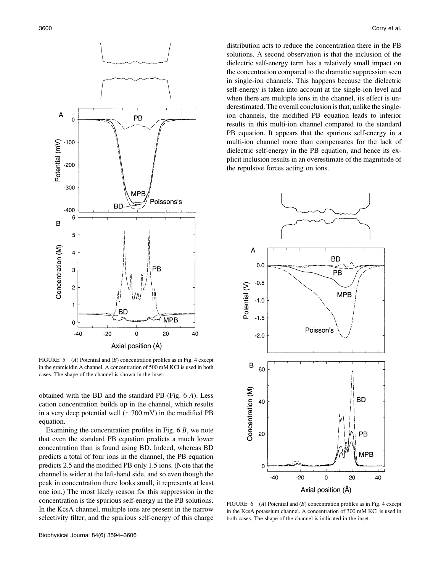

FIGURE 5 (A) Potential and (B) concentration profiles as in Fig. 4 except in the gramicidin A channel. A concentration of 500 mM KCl is used in both cases. The shape of the channel is shown in the inset.

obtained with the BD and the standard PB (Fig. 6 A). Less cation concentration builds up in the channel, which results in a very deep potential well ( $\sim$ 700 mV) in the modified PB equation.

Examining the concentration profiles in Fig. 6 B, we note that even the standard PB equation predicts a much lower concentration than is found using BD. Indeed, whereas BD predicts a total of four ions in the channel, the PB equation predicts 2.5 and the modified PB only 1.5 ions. (Note that the channel is wider at the left-hand side, and so even though the peak in concentration there looks small, it represents at least one ion.) The most likely reason for this suppression in the concentration is the spurious self-energy in the PB solutions. In the KcsA channel, multiple ions are present in the narrow selectivity filter, and the spurious self-energy of this charge

distribution acts to reduce the concentration there in the PB solutions. A second observation is that the inclusion of the dielectric self-energy term has a relatively small impact on the concentration compared to the dramatic suppression seen in single-ion channels. This happens because the dielectric self-energy is taken into account at the single-ion level and when there are multiple ions in the channel, its effect is underestimated. The overall conclusion is that, unlike the singleion channels, the modified PB equation leads to inferior results in this multi-ion channel compared to the standard PB equation. It appears that the spurious self-energy in a multi-ion channel more than compensates for the lack of dielectric self-energy in the PB equation, and hence its explicit inclusion results in an overestimate of the magnitude of the repulsive forces acting on ions.



FIGURE  $6$  (A) Potential and (B) concentration profiles as in Fig. 4 except in the KcsA potassium channel. A concentration of 300 mM KCl is used in both cases. The shape of the channel is indicated in the inset.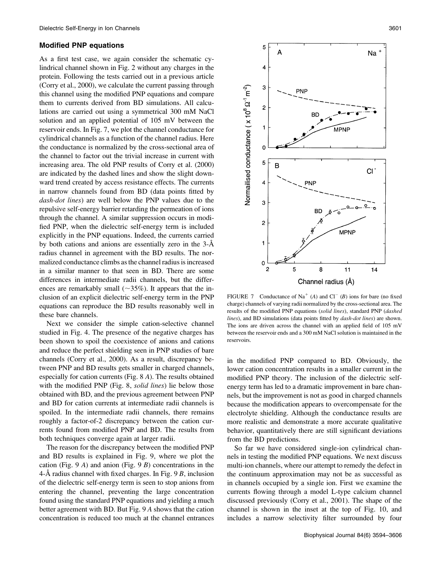#### Modified PNP equations

As a first test case, we again consider the schematic cylindrical channel shown in Fig. 2 without any charges in the protein. Following the tests carried out in a previous article (Corry et al., 2000), we calculate the current passing through this channel using the modified PNP equations and compare them to currents derived from BD simulations. All calculations are carried out using a symmetrical 300 mM NaCl solution and an applied potential of 105 mV between the reservoir ends. In Fig. 7, we plot the channel conductance for cylindrical channels as a function of the channel radius. Here the conductance is normalized by the cross-sectional area of the channel to factor out the trivial increase in current with increasing area. The old PNP results of Corry et al. (2000) are indicated by the dashed lines and show the slight downward trend created by access resistance effects. The currents in narrow channels found from BD (data points fitted by dash-dot lines) are well below the PNP values due to the repulsive self-energy barrier retarding the permeation of ions through the channel. A similar suppression occurs in modified PNP, when the dielectric self-energy term is included explicitly in the PNP equations. Indeed, the currents carried by both cations and anions are essentially zero in the 3- $\AA$ radius channel in agreement with the BD results. The normalized conductance climbs as the channel radius is increased in a similar manner to that seen in BD. There are some differences in intermediate radii channels, but the differences are remarkably small ( $\sim$ 35%). It appears that the inclusion of an explicit dielectric self-energy term in the PNP equations can reproduce the BD results reasonably well in these bare channels.

Next we consider the simple cation-selective channel studied in Fig. 4. The presence of the negative charges has been shown to spoil the coexistence of anions and cations and reduce the perfect shielding seen in PNP studies of bare channels (Corry et al., 2000). As a result, discrepancy between PNP and BD results gets smaller in charged channels, especially for cation currents (Fig. 8 A). The results obtained with the modified PNP (Fig. 8, solid lines) lie below those obtained with BD, and the previous agreement between PNP and BD for cation currents at intermediate radii channels is spoiled. In the intermediate radii channels, there remains roughly a factor-of-2 discrepancy between the cation currents found from modified PNP and BD. The results from both techniques converge again at larger radii.

The reason for the discrepancy between the modified PNP and BD results is explained in Fig. 9, where we plot the cation (Fig. 9 A) and anion (Fig. 9 B) concentrations in the 4-Å radius channel with fixed charges. In Fig.  $9B$ , inclusion of the dielectric self-energy term is seen to stop anions from entering the channel, preventing the large concentration found using the standard PNP equations and yielding a much better agreement with BD. But Fig. 9 A shows that the cation concentration is reduced too much at the channel entrances



FIGURE 7 Conductance of Na<sup>+</sup> (A) and Cl<sup>-</sup> (B) ions for bare (no fixed charge) channels of varying radii normalized by the cross-sectional area. The results of the modified PNP equations (solid lines), standard PNP (dashed lines), and BD simulations (data points fitted by *dash-dot lines*) are shown. The ions are driven across the channel with an applied field of 105 mV between the reservoir ends and a 300 mM NaCl solution is maintained in the reservoirs.

in the modified PNP compared to BD. Obviously, the lower cation concentration results in a smaller current in the modified PNP theory. The inclusion of the dielectric selfenergy term has led to a dramatic improvement in bare channels, but the improvement is not as good in charged channels because the modification appears to overcompensate for the electrolyte shielding. Although the conductance results are more realistic and demonstrate a more accurate qualitative behavior, quantitatively there are still significant deviations from the BD predictions.

So far we have considered single-ion cylindrical channels in testing the modified PNP equations. We next discuss multi-ion channels, where our attempt to remedy the defect in the continuum approximation may not be as successful as in channels occupied by a single ion. First we examine the currents flowing through a model L-type calcium channel discussed previously (Corry et al., 2001). The shape of the channel is shown in the inset at the top of Fig. 10, and includes a narrow selectivity filter surrounded by four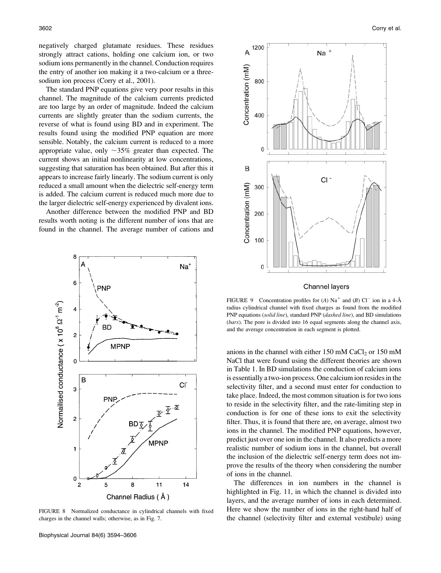negatively charged glutamate residues. These residues strongly attract cations, holding one calcium ion, or two sodium ions permanently in the channel. Conduction requires the entry of another ion making it a two-calcium or a threesodium ion process (Corry et al., 2001).

The standard PNP equations give very poor results in this channel. The magnitude of the calcium currents predicted are too large by an order of magnitude. Indeed the calcium currents are slightly greater than the sodium currents, the reverse of what is found using BD and in experiment. The results found using the modified PNP equation are more sensible. Notably, the calcium current is reduced to a more appropriate value, only  $\sim$ 35% greater than expected. The current shows an initial nonlinearity at low concentrations, suggesting that saturation has been obtained. But after this it appears to increase fairly linearly. The sodium current is only reduced a small amount when the dielectric self-energy term is added. The calcium current is reduced much more due to the larger dielectric self-energy experienced by divalent ions.

Another difference between the modified PNP and BD results worth noting is the different number of ions that are found in the channel. The average number of cations and



FIGURE 8 Normalized conductance in cylindrical channels with fixed charges in the channel walls; otherwise, as in Fig. 7.



**Channel layers** 

FIGURE 9 Concentration profiles for (A)  $\text{Na}^+$  and (B) Cl<sup>-</sup> ion in a 4- $\AA$ radius cylindrical channel with fixed charges as found from the modified PNP equations (solid line), standard PNP (dashed line), and BD simulations (bars). The pore is divided into 16 equal segments along the channel axis, and the average concentration in each segment is plotted.

anions in the channel with either 150 mM CaCl<sub>2</sub> or 150 mM NaCl that were found using the different theories are shown in Table 1. In BD simulations the conduction of calcium ions is essentially a two-ion process. One calcium ion resides in the selectivity filter, and a second must enter for conduction to take place. Indeed, the most common situation is for two ions to reside in the selectivity filter, and the rate-limiting step in conduction is for one of these ions to exit the selectivity filter. Thus, it is found that there are, on average, almost two ions in the channel. The modified PNP equations, however, predict just over one ion in the channel. It also predicts a more realistic number of sodium ions in the channel, but overall the inclusion of the dielectric self-energy term does not improve the results of the theory when considering the number of ions in the channel.

The differences in ion numbers in the channel is highlighted in Fig. 11, in which the channel is divided into layers, and the average number of ions in each determined. Here we show the number of ions in the right-hand half of the channel (selectivity filter and external vestibule) using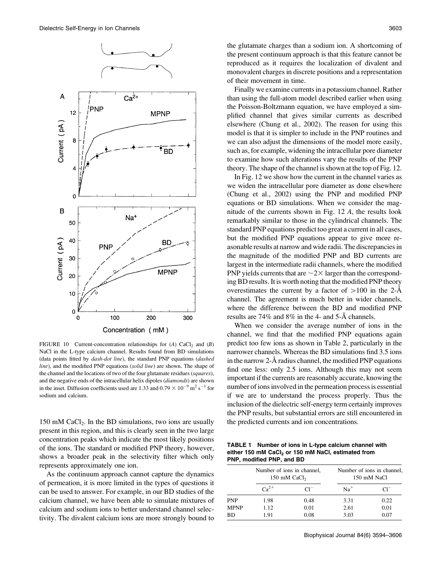

FIGURE 10 Current-concentration relationships for  $(A)$  CaCl<sub>2</sub> and  $(B)$ NaCl in the L-type calcium channel. Results found from BD simulations (data points fitted by dash-dot line), the standard PNP equations (dashed line), and the modified PNP equations (solid line) are shown. The shape of the channel and the locations of two of the four glutamate residues (squares), and the negative ends of the intracellular helix dipoles (diamonds) are shown in the inset. Diffusion coefficients used are 1.33 and  $0.79 \times 10^{-9}$  m<sup>2</sup> s<sup>-1</sup> for sodium and calcium.

150 mM CaCl<sub>2</sub>. In the BD simulations, two ions are usually present in this region, and this is clearly seen in the two large concentration peaks which indicate the most likely positions of the ions. The standard or modified PNP theory, however, shows a broader peak in the selectivity filter which only represents approximately one ion.

As the continuum approach cannot capture the dynamics of permeation, it is more limited in the types of questions it can be used to answer. For example, in our BD studies of the calcium channel, we have been able to simulate mixtures of calcium and sodium ions to better understand channel selectivity. The divalent calcium ions are more strongly bound to

the glutamate charges than a sodium ion. A shortcoming of the present continuum approach is that this feature cannot be reproduced as it requires the localization of divalent and monovalent charges in discrete positions and a representation of their movement in time.

Finally we examine currents in a potassium channel. Rather than using the full-atom model described earlier when using the Poisson-Boltzmann equation, we have employed a simplified channel that gives similar currents as described elsewhere (Chung et al., 2002). The reason for using this model is that it is simpler to include in the PNP routines and we can also adjust the dimensions of the model more easily, such as, for example, widening the intracellular pore diameter to examine how such alterations vary the results of the PNP theory. The shape of the channel is shown at the top of Fig. 12.

In Fig. 12 we show how the current in the channel varies as we widen the intracellular pore diameter as done elsewhere (Chung et al., 2002) using the PNP and modified PNP equations or BD simulations. When we consider the magnitude of the currents shown in Fig. 12 A, the results look remarkably similar to those in the cylindrical channels. The standard PNP equations predict too great a current in all cases, but the modified PNP equations appear to give more reasonable results at narrow and wide radii. The discrepancies in the magnitude of the modified PNP and BD currents are largest in the intermediate radii channels, where the modified PNP yields currents that are  $\sim$  2 $\times$  larger than the corresponding BD results. It is worth noting that the modified PNP theory overestimates the current by a factor of  $>100$  in the 2- $\AA$ channel. The agreement is much better in wider channels, where the difference between the BD and modified PNP results are  $74\%$  and  $8\%$  in the 4- and 5-Å channels.

When we consider the average number of ions in the channel, we find that the modified PNP equations again predict too few ions as shown in Table 2, particularly in the narrower channels. Whereas the BD simulations find 3.5 ions in the narrow 2-Å radius channel, the modified PNP equations find one less: only 2.5 ions. Although this may not seem important if the currents are reasonably accurate, knowing the number of ions involved in the permeation process is essential if we are to understand the process properly. Thus the inclusion of the dielectric self-energy term certainly improves the PNP results, but substantial errors are still encountered in the predicted currents and ion concentrations.

TABLE 1 Number of ions in L-type calcium channel with either 150 mM CaCl<sub>2</sub> or 150 mM NaCl, estimated from PNP, modified PNP, and BD

|             | Number of ions in channel,<br>150 mM CaCl <sub>2</sub> |          | Number of ions in channel,<br>150 mM NaCl |      |
|-------------|--------------------------------------------------------|----------|-------------------------------------------|------|
|             | $Ca^{2+}$                                              | $\cap^-$ | $Na+$                                     |      |
| <b>PNP</b>  | 1.98                                                   | 0.48     | 3.31                                      | 0.22 |
| <b>MPNP</b> | 1.12                                                   | 0.01     | 2.61                                      | 0.01 |
| <b>BD</b>   | 1.91                                                   | 0.08     | 3.03                                      | 0.07 |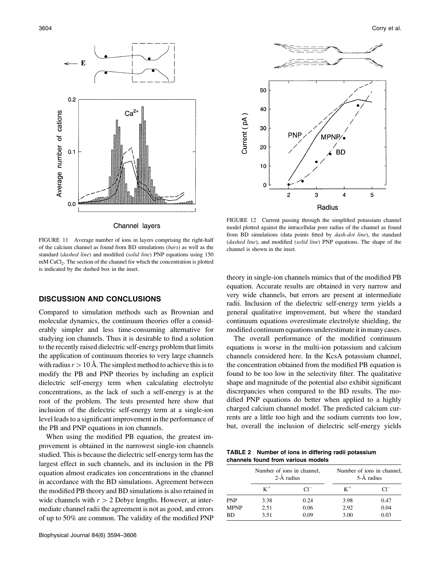



Channel layers

FIGURE 11 Average number of ions in layers comprising the right-half of the calcium channel as found from BD simulations (bars) as well as the standard (*dashed line*) and modified (*solid line*) PNP equations using 150 mM CaCl<sub>2</sub>. The section of the channel for which the concentration is plotted is indicated by the dashed box in the inset.

## DISCUSSION AND CONCLUSIONS

Compared to simulation methods such as Brownian and molecular dynamics, the continuum theories offer a considerably simpler and less time-consuming alternative for studying ion channels. Thus it is desirable to find a solution to the recently raised dielectric self-energy problem that limits the application of continuum theories to very large channels with radius  $r > 10$  Å. The simplest method to achieve this is to modify the PB and PNP theories by including an explicit dielectric self-energy term when calculating electrolyte concentrations, as the lack of such a self-energy is at the root of the problem. The tests presented here show that inclusion of the dielectric self-energy term at a single-ion level leads to a significant improvement in the performance of the PB and PNP equations in ion channels.

When using the modified PB equation, the greatest improvement is obtained in the narrowest single-ion channels studied. This is because the dielectric self-energy term has the largest effect in such channels, and its inclusion in the PB equation almost eradicates ion concentrations in the channel in accordance with the BD simulations. Agreement between the modified PB theory and BD simulations is also retained in wide channels with  $r > 2$  Debye lengths. However, at intermediate channel radii the agreement is not as good, and errors of up to 50% are common. The validity of the modified PNP

FIGURE 12 Current passing through the simplified potassium channel model plotted against the intracellular pore radius of the channel as found from BD simulations (data points fitted by dash-dot line), the standard (dashed line), and modified (solid line) PNP equations. The shape of the channel is shown in the inset.

theory in single-ion channels mimics that of the modified PB equation. Accurate results are obtained in very narrow and very wide channels, but errors are present at intermediate radii. Inclusion of the dielectric self-energy term yields a general qualitative improvement, but where the standard continuum equations overestimate electrolyte shielding, the modified continuum equations underestimate it in many cases.

The overall performance of the modified continuum equations is worse in the multi-ion potassium and calcium channels considered here. In the KcsA potassium channel, the concentration obtained from the modified PB equation is found to be too low in the selectivity filter. The qualitative shape and magnitude of the potential also exhibit significant discrepancies when compared to the BD results. The modified PNP equations do better when applied to a highly charged calcium channel model. The predicted calcium currents are a little too high and the sodium currents too low, but, overall the inclusion of dielectric self-energy yields

TABLE 2 Number of ions in differing radii potassium channels found from various models

|             | Number of ions in channel,<br>$2-\AA$ radius |      | Number of ions in channel,<br>5-Å radius |      |
|-------------|----------------------------------------------|------|------------------------------------------|------|
|             | $K^+$                                        | רו⊃  | $K^+$                                    |      |
| <b>PNP</b>  | 3.38                                         | 0.24 | 3.98                                     | 0.47 |
| <b>MPNP</b> | 2.51                                         | 0.06 | 2.92                                     | 0.04 |
| BD          | 3.51                                         | 0.09 | 3.00                                     | 0.03 |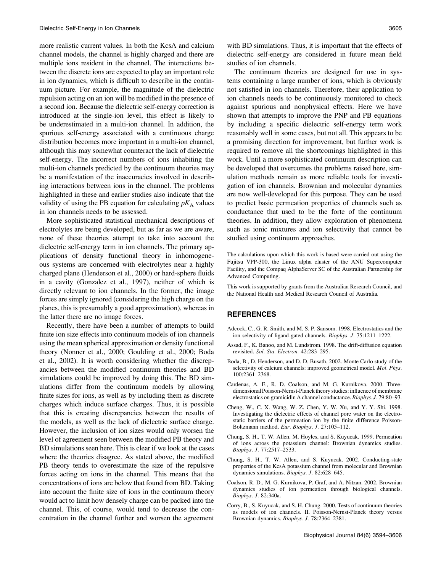more realistic current values. In both the KcsA and calcium channel models, the channel is highly charged and there are multiple ions resident in the channel. The interactions between the discrete ions are expected to play an important role in ion dynamics, which is difficult to describe in the continuum picture. For example, the magnitude of the dielectric repulsion acting on an ion will be modified in the presence of a second ion. Because the dielectric self-energy correction is introduced at the single-ion level, this effect is likely to be underestimated in a multi-ion channel. In addition, the spurious self-energy associated with a continuous charge distribution becomes more important in a multi-ion channel, although this may somewhat counteract the lack of dielectric self-energy. The incorrect numbers of ions inhabiting the multi-ion channels predicted by the continuum theories may be a manifestation of the inaccuracies involved in describing interactions between ions in the channel. The problems highlighted in these and earlier studies also indicate that the validity of using the PB equation for calculating  $pK_A$  values in ion channels needs to be assessed.

More sophisticated statistical mechanical descriptions of electrolytes are being developed, but as far as we are aware, none of these theories attempt to take into account the dielectric self-energy term in ion channels. The primary applications of density functional theory in inhomogeneous systems are concerned with electrolytes near a highly charged plane (Henderson et al., 2000) or hard-sphere fluids in a cavity (Gonzalez et al., 1997), neither of which is directly relevant to ion channels. In the former, the image forces are simply ignored (considering the high charge on the planes, this is presumably a good approximation), whereas in the latter there are no image forces.

Recently, there have been a number of attempts to build finite ion size effects into continuum models of ion channels using the mean spherical approximation or density functional theory (Nonner et al., 2000; Goulding et al., 2000; Boda et al., 2002). It is worth considering whether the discrepancies between the modified continuum theories and BD simulations could be improved by doing this. The BD simulations differ from the continuum models by allowing finite sizes for ions, as well as by including them as discrete charges which induce surface charges. Thus, it is possible that this is creating discrepancies between the results of the models, as well as the lack of dielectric surface charge. However, the inclusion of ion sizes would only worsen the level of agreement seen between the modified PB theory and BD simulations seen here. This is clear if we look at the cases where the theories disagree. As stated above, the modified PB theory tends to overestimate the size of the repulsive forces acting on ions in the channel. This means that the concentrations of ions are below that found from BD. Taking into account the finite size of ions in the continuum theory would act to limit how densely charge can be packed into the channel. This, of course, would tend to decrease the concentration in the channel further and worsen the agreement

with BD simulations. Thus, it is important that the effects of dielectric self-energy are considered in future mean field studies of ion channels.

The continuum theories are designed for use in systems containing a large number of ions, which is obviously not satisfied in ion channels. Therefore, their application to ion channels needs to be continuously monitored to check against spurious and nonphysical effects. Here we have shown that attempts to improve the PNP and PB equations by including a specific dielectric self-energy term work reasonably well in some cases, but not all. This appears to be a promising direction for improvement, but further work is required to remove all the shortcomings highlighted in this work. Until a more sophisticated continuum description can be developed that overcomes the problems raised here, simulation methods remain as more reliable tools for investigation of ion channels. Brownian and molecular dynamics are now well-developed for this purpose. They can be used to predict basic permeation properties of channels such as conductance that used to be the forte of the continuum theories. In addition, they allow exploration of phenomena such as ionic mixtures and ion selectivity that cannot be studied using continuum approaches.

The calculations upon which this work is based were carried out using the Fujitsu VPP-300, the Linux alpha cluster of the ANU Supercomputer Facility, and the Compaq AlphaServer SC of the Australian Partnership for Advanced Computing.

This work is supported by grants from the Australian Research Council, and the National Health and Medical Research Council of Australia.

## **REFERENCES**

- Adcock, C., G. R. Smith, and M. S. P. Sansom. 1998. Electrostatics and the ion selectivity of ligand-gated channels. Biophys. J. 75:1211–1222.
- Assad, F., K. Banoo, and M. Lundstrom. 1998. The drift-diffusion equation revisited. Sol. Sta. Electron. 42:283–295.
- Boda, B., D. Henderson, and D. D. Busath. 2002. Monte Carlo study of the selectivity of calcium channels: improved geometrical model. Mol. Phys. 100:2361–2368.
- Cardenas, A. E., R. D. Coalson, and M. G. Kurnikova. 2000. Threedimensional Poisson-Nernst-Planck theory studies: influence of membrane electrostatics on gramicidin A channel conductance. Biophys. J. 79:80–93.
- Cheng, W., C. X. Wang, W. Z. Chen, Y. W. Xu, and Y. Y. Shi. 1998. Investigating the dielectric effects of channel pore water on the electrostatic barriers of the permeation ion by the finite difference Poisson-Boltzmann method. Eur. Biophys. J. 27:105–112.
- Chung, S. H., T. W. Allen, M. Hoyles, and S. Kuyucak. 1999. Permeation of ions across the potassium channel: Brownian dynamics studies. Biophys. J. 77:2517–2533.
- Chung, S. H., T. W. Allen, and S. Kuyucak. 2002. Conducting-state properties of the KcsA potassium channel from molecular and Brownian dynamics simulations. Biophys. J. 82:628–645.
- Coalson, R. D., M. G. Kurnikova, P. Graf, and A. Nitzan. 2002. Brownian dynamics studies of ion permeation through biological channels. Biophys. J. 82:340a.
- Corry, B., S. Kuyucak, and S. H. Chung. 2000. Tests of continuum theories as models of ion channels. II. Poisson-Nernst-Planck theory versus Brownian dynamics. Biophys. J. 78:2364–2381.